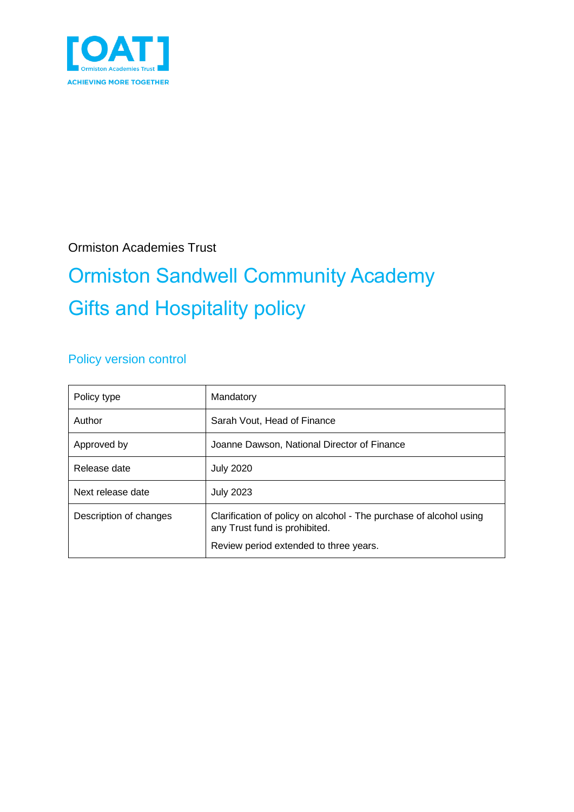

Ormiston Academies Trust

# Ormiston Sandwell Community Academy Gifts and Hospitality policy

#### Policy version control

| Policy type            | Mandatory                                                                                                                                     |
|------------------------|-----------------------------------------------------------------------------------------------------------------------------------------------|
| Author                 | Sarah Vout, Head of Finance                                                                                                                   |
| Approved by            | Joanne Dawson, National Director of Finance                                                                                                   |
| Release date           | <b>July 2020</b>                                                                                                                              |
| Next release date      | <b>July 2023</b>                                                                                                                              |
| Description of changes | Clarification of policy on alcohol - The purchase of alcohol using<br>any Trust fund is prohibited.<br>Review period extended to three years. |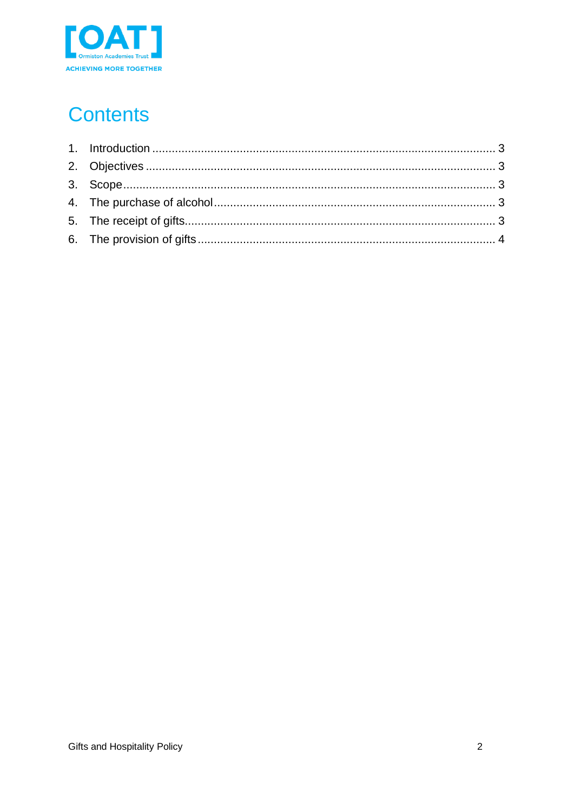

# **Contents**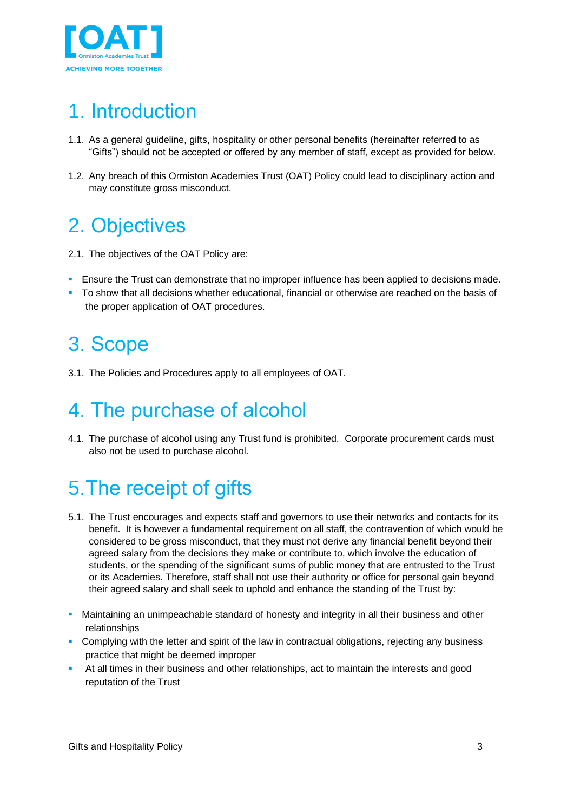

## <span id="page-2-0"></span>1. Introduction

- 1.1. As a general guideline, gifts, hospitality or other personal benefits (hereinafter referred to as "Gifts") should not be accepted or offered by any member of staff, except as provided for below.
- 1.2. Any breach of this Ormiston Academies Trust (OAT) Policy could lead to disciplinary action and may constitute gross misconduct.

#### <span id="page-2-1"></span>2. Objectives

- 2.1. The objectives of the OAT Policy are:
- **E** Ensure the Trust can demonstrate that no improper influence has been applied to decisions made.
- To show that all decisions whether educational, financial or otherwise are reached on the basis of the proper application of OAT procedures.

#### <span id="page-2-2"></span>3. Scope

3.1. The Policies and Procedures apply to all employees of OAT.

### <span id="page-2-3"></span>4. The purchase of alcohol

4.1. The purchase of alcohol using any Trust fund is prohibited. Corporate procurement cards must also not be used to purchase alcohol.

# <span id="page-2-4"></span>5.The receipt of gifts

- 5.1. The Trust encourages and expects staff and governors to use their networks and contacts for its benefit. It is however a fundamental requirement on all staff, the contravention of which would be considered to be gross misconduct, that they must not derive any financial benefit beyond their agreed salary from the decisions they make or contribute to, which involve the education of students, or the spending of the significant sums of public money that are entrusted to the Trust or its Academies. Therefore, staff shall not use their authority or office for personal gain beyond their agreed salary and shall seek to uphold and enhance the standing of the Trust by:
- **■** Maintaining an unimpeachable standard of honesty and integrity in all their business and other relationships
- **Complying with the letter and spirit of the law in contractual obligations, rejecting any business** practice that might be deemed improper
- At all times in their business and other relationships, act to maintain the interests and good reputation of the Trust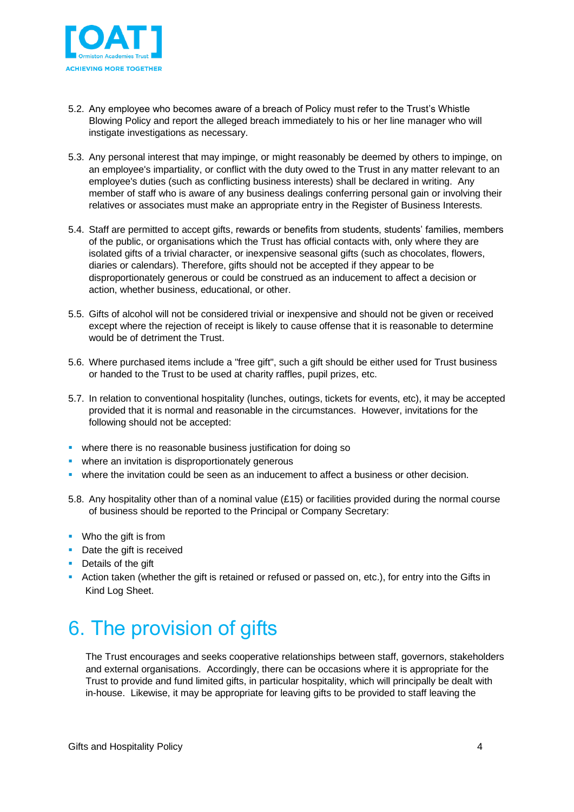

- 5.2. Any employee who becomes aware of a breach of Policy must refer to the Trust's Whistle Blowing Policy and report the alleged breach immediately to his or her line manager who will instigate investigations as necessary.
- 5.3. Any personal interest that may impinge, or might reasonably be deemed by others to impinge, on an employee's impartiality, or conflict with the duty owed to the Trust in any matter relevant to an employee's duties (such as conflicting business interests) shall be declared in writing. Any member of staff who is aware of any business dealings conferring personal gain or involving their relatives or associates must make an appropriate entry in the Register of Business Interests.
- 5.4. Staff are permitted to accept gifts, rewards or benefits from students, students' families, members of the public, or organisations which the Trust has official contacts with, only where they are isolated gifts of a trivial character, or inexpensive seasonal gifts (such as chocolates, flowers, diaries or calendars). Therefore, gifts should not be accepted if they appear to be disproportionately generous or could be construed as an inducement to affect a decision or action, whether business, educational, or other.
- 5.5. Gifts of alcohol will not be considered trivial or inexpensive and should not be given or received except where the rejection of receipt is likely to cause offense that it is reasonable to determine would be of detriment the Trust.
- 5.6. Where purchased items include a "free gift", such a gift should be either used for Trust business or handed to the Trust to be used at charity raffles, pupil prizes, etc.
- 5.7. In relation to conventional hospitality (lunches, outings, tickets for events, etc), it may be accepted provided that it is normal and reasonable in the circumstances. However, invitations for the following should not be accepted:
- **•** where there is no reasonable business justification for doing so
- **E** where an invitation is disproportionately generous
- **•** where the invitation could be seen as an inducement to affect a business or other decision.
- 5.8. Any hospitality other than of a nominal value (£15) or facilities provided during the normal course of business should be reported to the Principal or Company Secretary:
- Who the gift is from
- Date the gift is received
- Details of the gift
- **EXECT** Action taken (whether the gift is retained or refused or passed on, etc.), for entry into the Gifts in Kind Log Sheet.

#### <span id="page-3-0"></span>6. The provision of gifts

The Trust encourages and seeks cooperative relationships between staff, governors, stakeholders and external organisations. Accordingly, there can be occasions where it is appropriate for the Trust to provide and fund limited gifts, in particular hospitality, which will principally be dealt with in-house. Likewise, it may be appropriate for leaving gifts to be provided to staff leaving the